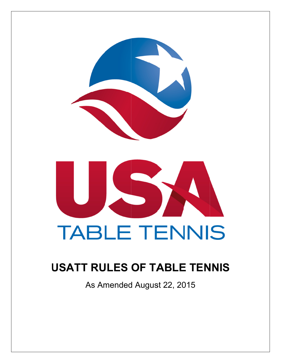



# **USATT RULES OF TABLE TENNIS**

As Amended August 22, 2015